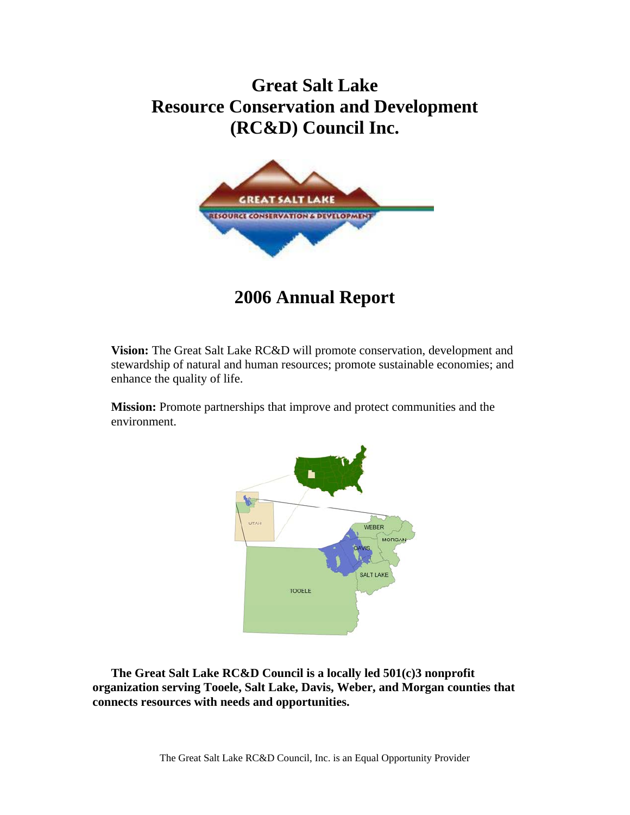# **Great Salt Lake Resource Conservation and Development (RC&D) Council Inc.**



**2006 Annual Report** 

**Vision:** The Great Salt Lake RC&D will promote conservation, development and stewardship of natural and human resources; promote sustainable economies; and enhance the quality of life.

**Mission:** Promote partnerships that improve and protect communities and the environment.



**The Great Salt Lake RC&D Council is a locally led 501(c)3 nonprofit organization serving Tooele, Salt Lake, Davis, Weber, and Morgan counties that connects resources with needs and opportunities.**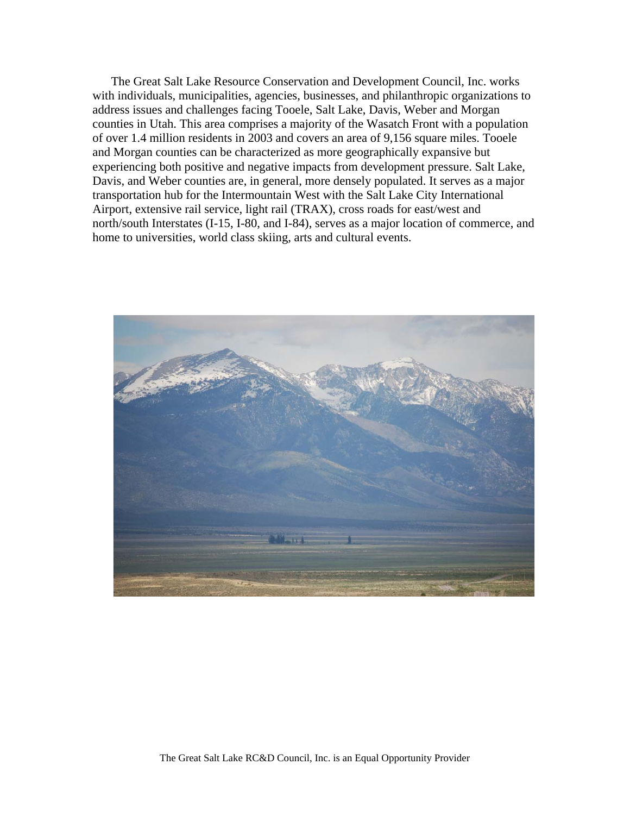The Great Salt Lake Resource Conservation and Development Council, Inc. works with individuals, municipalities, agencies, businesses, and philanthropic organizations to address issues and challenges facing Tooele, Salt Lake, Davis, Weber and Morgan counties in Utah. This area comprises a majority of the Wasatch Front with a population of over 1.4 million residents in 2003 and covers an area of 9,156 square miles. Tooele and Morgan counties can be characterized as more geographically expansive but experiencing both positive and negative impacts from development pressure. Salt Lake, Davis, and Weber counties are, in general, more densely populated. It serves as a major transportation hub for the Intermountain West with the Salt Lake City International Airport, extensive rail service, light rail (TRAX), cross roads for east/west and north/south Interstates (I-15, I-80, and I-84), serves as a major location of commerce, and home to universities, world class skiing, arts and cultural events.

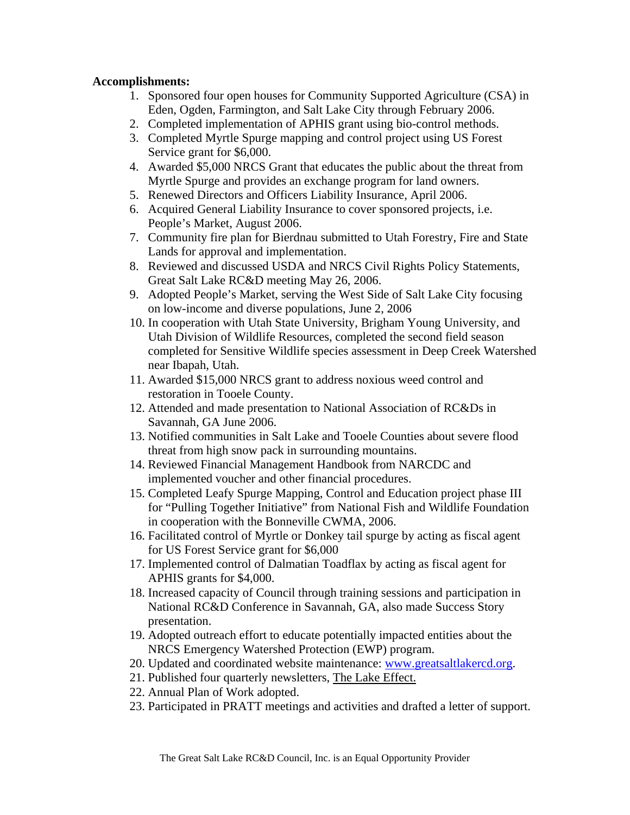## **Accomplishments:**

- 1. Sponsored four open houses for Community Supported Agriculture (CSA) in Eden, Ogden, Farmington, and Salt Lake City through February 2006.
- 2. Completed implementation of APHIS grant using bio-control methods.
- 3. Completed Myrtle Spurge mapping and control project using US Forest Service grant for \$6,000.
- 4. Awarded \$5,000 NRCS Grant that educates the public about the threat from Myrtle Spurge and provides an exchange program for land owners.
- 5. Renewed Directors and Officers Liability Insurance, April 2006.
- 6. Acquired General Liability Insurance to cover sponsored projects, i.e. People's Market, August 2006.
- 7. Community fire plan for Bierdnau submitted to Utah Forestry, Fire and State Lands for approval and implementation.
- 8. Reviewed and discussed USDA and NRCS Civil Rights Policy Statements, Great Salt Lake RC&D meeting May 26, 2006.
- 9. Adopted People's Market, serving the West Side of Salt Lake City focusing on low-income and diverse populations, June 2, 2006
- 10. In cooperation with Utah State University, Brigham Young University, and Utah Division of Wildlife Resources, completed the second field season completed for Sensitive Wildlife species assessment in Deep Creek Watershed near Ibapah, Utah.
- 11. Awarded \$15,000 NRCS grant to address noxious weed control and restoration in Tooele County.
- 12. Attended and made presentation to National Association of RC&Ds in Savannah, GA June 2006.
- 13. Notified communities in Salt Lake and Tooele Counties about severe flood threat from high snow pack in surrounding mountains.
- 14. Reviewed Financial Management Handbook from NARCDC and implemented voucher and other financial procedures.
- 15. Completed Leafy Spurge Mapping, Control and Education project phase III for "Pulling Together Initiative" from National Fish and Wildlife Foundation in cooperation with the Bonneville CWMA, 2006.
- 16. Facilitated control of Myrtle or Donkey tail spurge by acting as fiscal agent for US Forest Service grant for \$6,000
- 17. Implemented control of Dalmatian Toadflax by acting as fiscal agent for APHIS grants for \$4,000.
- 18. Increased capacity of Council through training sessions and participation in National RC&D Conference in Savannah, GA, also made Success Story presentation.
- 19. Adopted outreach effort to educate potentially impacted entities about the NRCS Emergency Watershed Protection (EWP) program.
- 20. Updated and coordinated website maintenance: www.greatsaltlakercd.org.
- 21. Published four quarterly newsletters, The Lake Effect.
- 22. Annual Plan of Work adopted.
- 23. Participated in PRATT meetings and activities and drafted a letter of support.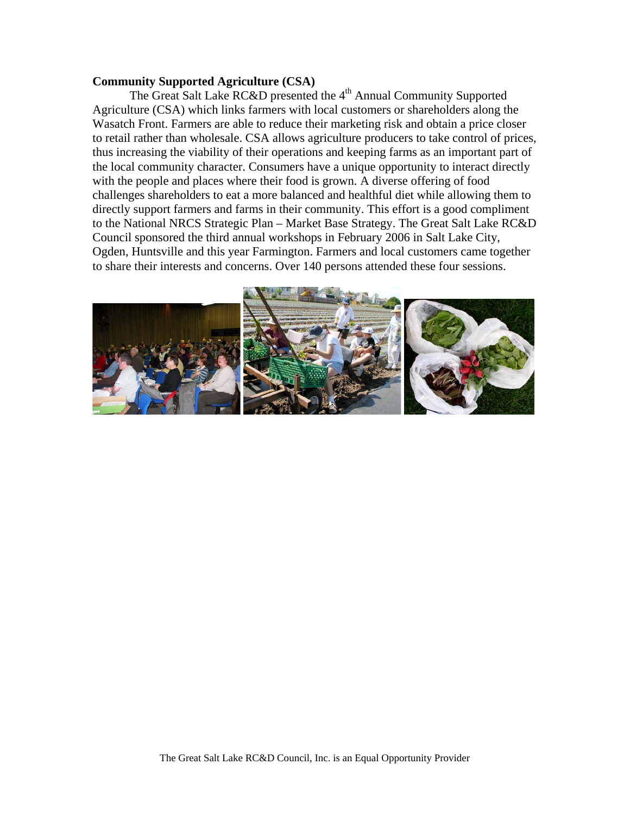#### **Community Supported Agriculture (CSA)**

The Great Salt Lake RC&D presented the 4<sup>th</sup> Annual Community Supported Agriculture (CSA) which links farmers with local customers or shareholders along the Wasatch Front. Farmers are able to reduce their marketing risk and obtain a price closer to retail rather than wholesale. CSA allows agriculture producers to take control of prices, thus increasing the viability of their operations and keeping farms as an important part of the local community character. Consumers have a unique opportunity to interact directly with the people and places where their food is grown. A diverse offering of food challenges shareholders to eat a more balanced and healthful diet while allowing them to directly support farmers and farms in their community. This effort is a good compliment to the National NRCS Strategic Plan – Market Base Strategy. The Great Salt Lake RC&D Council sponsored the third annual workshops in February 2006 in Salt Lake City, Ogden, Huntsville and this year Farmington. Farmers and local customers came together to share their interests and concerns. Over 140 persons attended these four sessions.

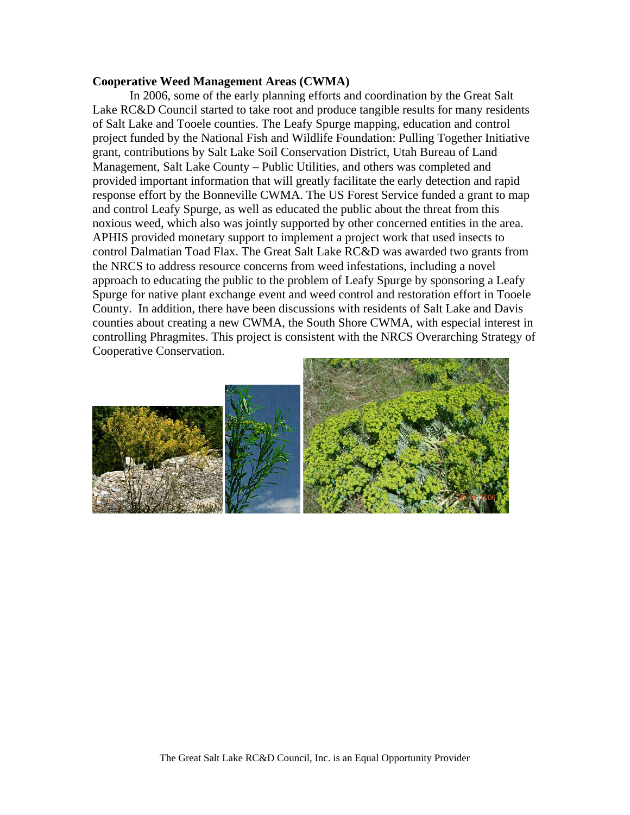#### **Cooperative Weed Management Areas (CWMA)**

 In 2006, some of the early planning efforts and coordination by the Great Salt Lake RC&D Council started to take root and produce tangible results for many residents of Salt Lake and Tooele counties. The Leafy Spurge mapping, education and control project funded by the National Fish and Wildlife Foundation: Pulling Together Initiative grant, contributions by Salt Lake Soil Conservation District, Utah Bureau of Land Management, Salt Lake County – Public Utilities, and others was completed and provided important information that will greatly facilitate the early detection and rapid response effort by the Bonneville CWMA. The US Forest Service funded a grant to map and control Leafy Spurge, as well as educated the public about the threat from this noxious weed, which also was jointly supported by other concerned entities in the area. APHIS provided monetary support to implement a project work that used insects to control Dalmatian Toad Flax. The Great Salt Lake RC&D was awarded two grants from the NRCS to address resource concerns from weed infestations, including a novel approach to educating the public to the problem of Leafy Spurge by sponsoring a Leafy Spurge for native plant exchange event and weed control and restoration effort in Tooele County. In addition, there have been discussions with residents of Salt Lake and Davis counties about creating a new CWMA, the South Shore CWMA, with especial interest in controlling Phragmites. This project is consistent with the NRCS Overarching Strategy of Cooperative Conservation.

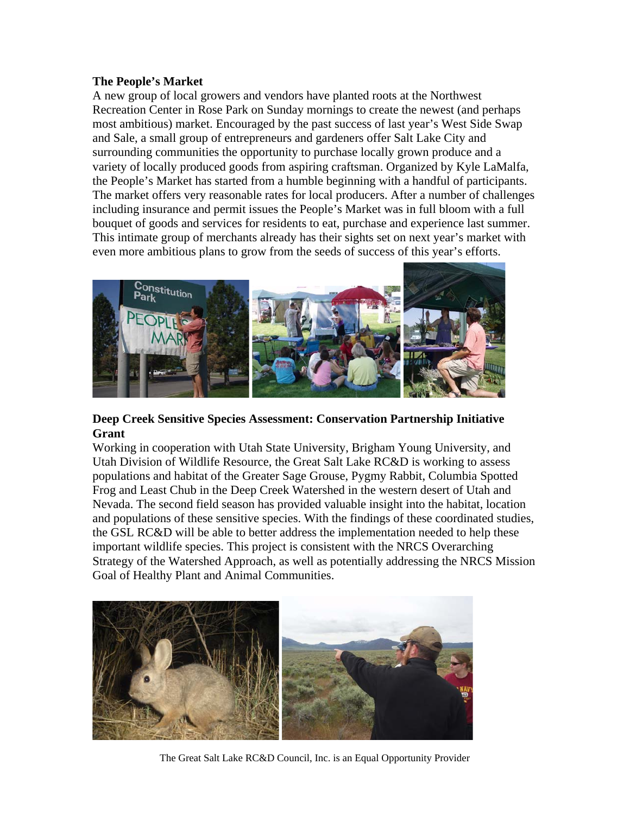### **The People's Market**

A new group of local growers and vendors have planted roots at the Northwest Recreation Center in Rose Park on Sunday mornings to create the newest (and perhaps most ambitious) market. Encouraged by the past success of last year's West Side Swap and Sale, a small group of entrepreneurs and gardeners offer Salt Lake City and surrounding communities the opportunity to purchase locally grown produce and a variety of locally produced goods from aspiring craftsman. Organized by Kyle LaMalfa, the People's Market has started from a humble beginning with a handful of participants. The market offers very reasonable rates for local producers. After a number of challenges including insurance and permit issues the People's Market was in full bloom with a full bouquet of goods and services for residents to eat, purchase and experience last summer. This intimate group of merchants already has their sights set on next year's market with even more ambitious plans to grow from the seeds of success of this year's efforts.



## **Deep Creek Sensitive Species Assessment: Conservation Partnership Initiative Grant**

Working in cooperation with Utah State University, Brigham Young University, and Utah Division of Wildlife Resource, the Great Salt Lake RC&D is working to assess populations and habitat of the Greater Sage Grouse, Pygmy Rabbit, Columbia Spotted Frog and Least Chub in the Deep Creek Watershed in the western desert of Utah and Nevada. The second field season has provided valuable insight into the habitat, location and populations of these sensitive species. With the findings of these coordinated studies, the GSL RC&D will be able to better address the implementation needed to help these important wildlife species. This project is consistent with the NRCS Overarching Strategy of the Watershed Approach, as well as potentially addressing the NRCS Mission Goal of Healthy Plant and Animal Communities.



The Great Salt Lake RC&D Council, Inc. is an Equal Opportunity Provider